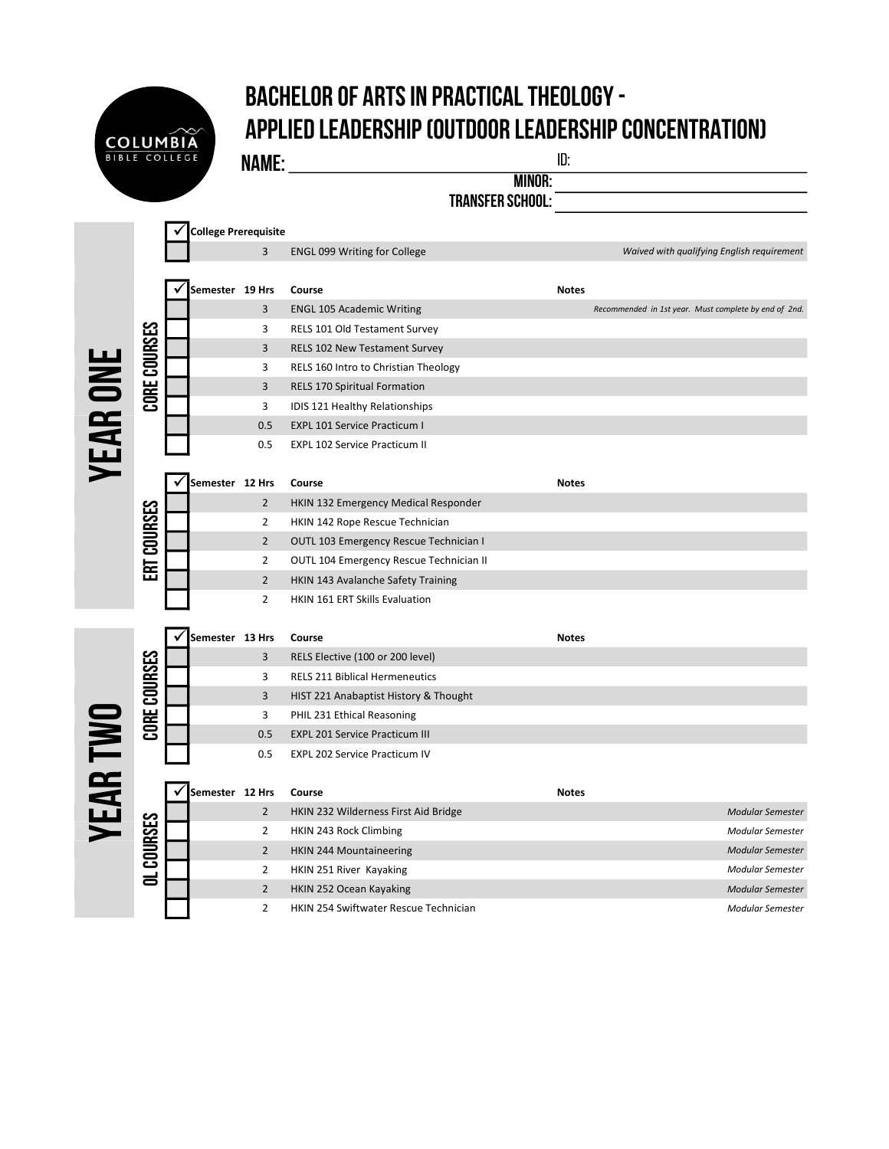## Bachelor of Arts in Practical Theology - Applied Leadership (Outdoor Leadership Concentration)

Name: id:

**COLUMBIA** 

|        | ID |
|--------|----|
| MINOR: |    |

Transfer School:

|                 | CORE COURSES      | <b>College Prerequisite</b> |                |                                         |              |                                                       |                  |
|-----------------|-------------------|-----------------------------|----------------|-----------------------------------------|--------------|-------------------------------------------------------|------------------|
|                 |                   |                             | 3              | ENGL 099 Writing for College            |              | Waived with qualifying English requirement            |                  |
| <b>YEAR ONE</b> |                   | Semester 19 Hrs             |                | Course                                  | <b>Notes</b> |                                                       |                  |
|                 |                   |                             | 3              | <b>ENGL 105 Academic Writing</b>        |              | Recommended in 1st year. Must complete by end of 2nd. |                  |
|                 |                   |                             | 3              | RELS 101 Old Testament Survey           |              |                                                       |                  |
|                 |                   |                             | 3              | <b>RELS 102 New Testament Survey</b>    |              |                                                       |                  |
|                 |                   |                             | 3              | RELS 160 Intro to Christian Theology    |              |                                                       |                  |
|                 |                   |                             | 3              | RELS 170 Spiritual Formation            |              |                                                       |                  |
|                 |                   |                             | 3              | IDIS 121 Healthy Relationships          |              |                                                       |                  |
|                 |                   |                             | 0.5            | <b>EXPL 101 Service Practicum I</b>     |              |                                                       |                  |
|                 |                   |                             | 0.5            | <b>EXPL 102 Service Practicum II</b>    |              |                                                       |                  |
|                 |                   | Semester 12 Hrs             |                | Course                                  | <b>Notes</b> |                                                       |                  |
|                 |                   |                             | $\overline{2}$ | HKIN 132 Emergency Medical Responder    |              |                                                       |                  |
|                 |                   |                             | $\overline{2}$ | HKIN 142 Rope Rescue Technician         |              |                                                       |                  |
|                 | ERT COURSES       |                             | $\overline{2}$ | OUTL 103 Emergency Rescue Technician I  |              |                                                       |                  |
|                 |                   |                             | $\overline{2}$ | OUTL 104 Emergency Rescue Technician II |              |                                                       |                  |
|                 |                   |                             | $\overline{2}$ | HKIN 143 Avalanche Safety Training      |              |                                                       |                  |
|                 |                   |                             | $\overline{2}$ | HKIN 161 ERT Skills Evaluation          |              |                                                       |                  |
|                 |                   |                             |                |                                         |              |                                                       |                  |
|                 |                   | Semester 13 Hrs             |                | Course                                  | <b>Notes</b> |                                                       |                  |
|                 |                   |                             | 3              | RELS Elective (100 or 200 level)        |              |                                                       |                  |
|                 | CORE COURSES      |                             | 3              | <b>RELS 211 Biblical Hermeneutics</b>   |              |                                                       |                  |
|                 |                   |                             | 3              | HIST 221 Anabaptist History & Thought   |              |                                                       |                  |
|                 |                   |                             | 3              | PHIL 231 Ethical Reasoning              |              |                                                       |                  |
|                 |                   |                             | 0.5            | <b>EXPL 201 Service Practicum III</b>   |              |                                                       |                  |
|                 |                   |                             | 0.5            | <b>EXPL 202 Service Practicum IV</b>    |              |                                                       |                  |
| YEAR TWO        |                   | Semester 12 Hrs             |                | Course                                  | <b>Notes</b> |                                                       |                  |
|                 |                   |                             | $\overline{2}$ | HKIN 232 Wilderness First Aid Bridge    |              |                                                       | Modular Semester |
|                 |                   |                             | $\overline{2}$ | HKIN 243 Rock Climbing                  |              |                                                       | Modular Semester |
|                 |                   |                             | $\overline{2}$ | <b>HKIN 244 Mountaineering</b>          |              |                                                       | Modular Semester |
|                 | <b>OL COURSES</b> |                             | $\overline{2}$ | HKIN 251 River Kayaking                 |              |                                                       | Modular Semester |
|                 |                   |                             | $\overline{2}$ | HKIN 252 Ocean Kayaking                 |              |                                                       | Modular Semester |
|                 |                   |                             | $\overline{2}$ | HKIN 254 Swiftwater Rescue Technician   |              |                                                       | Modular Semester |